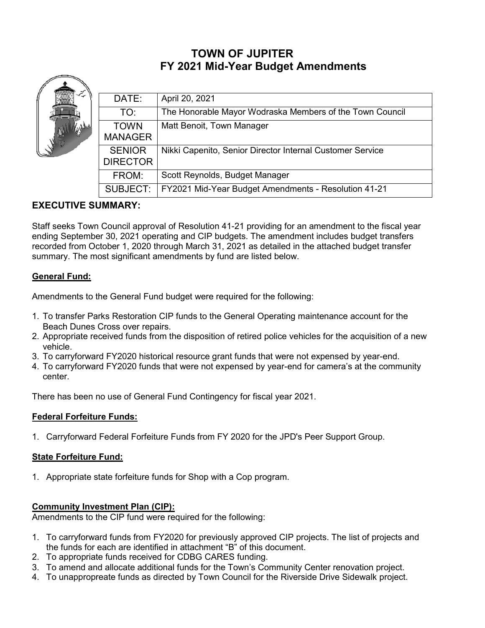# **TOWN OF JUPITER FY 2021 Mid-Year Budget Amendments**

| DATE:           | April 20, 2021                                            |
|-----------------|-----------------------------------------------------------|
| TO:             | The Honorable Mayor Wodraska Members of the Town Council  |
| <b>TOWN</b>     | Matt Benoit, Town Manager                                 |
| <b>MANAGER</b>  |                                                           |
| <b>SENIOR</b>   | Nikki Capenito, Senior Director Internal Customer Service |
| <b>DIRECTOR</b> |                                                           |
| FROM:           | Scott Reynolds, Budget Manager                            |
| SUBJECT:        | FY2021 Mid-Year Budget Amendments - Resolution 41-21      |

## **EXECUTIVE SUMMARY:**

Staff seeks Town Council approval of Resolution 41-21 providing for an amendment to the fiscal year ending September 30, 2021 operating and CIP budgets. The amendment includes budget transfers recorded from October 1, 2020 through March 31, 2021 as detailed in the attached budget transfer summary. The most significant amendments by fund are listed below.

## **General Fund:**

حصير

Amendments to the General Fund budget were required for the following:

- 1. To transfer Parks Restoration CIP funds to the General Operating maintenance account for the Beach Dunes Cross over repairs.
- 2. Appropriate received funds from the disposition of retired police vehicles for the acquisition of a new vehicle.
- 3. To carryforward FY2020 historical resource grant funds that were not expensed by year-end.
- 4. To carryforward FY2020 funds that were not expensed by year-end for camera's at the community center.

There has been no use of General Fund Contingency for fiscal year 2021.

#### **Federal Forfeiture Funds:**

1. Carryforward Federal Forfeiture Funds from FY 2020 for the JPD's Peer Support Group.

#### **State Forfeiture Fund:**

1. Appropriate state forfeiture funds for Shop with a Cop program.

#### **Community Investment Plan (CIP):**

Amendments to the CIP fund were required for the following:

- 1. To carryforward funds from FY2020 for previously approved CIP projects. The list of projects and the funds for each are identified in attachment "B" of this document.
- 2. To appropriate funds received for CDBG CARES funding.
- 3. To amend and allocate additional funds for the Town's Community Center renovation project.
- 4. To unappropreate funds as directed by Town Council for the Riverside Drive Sidewalk project.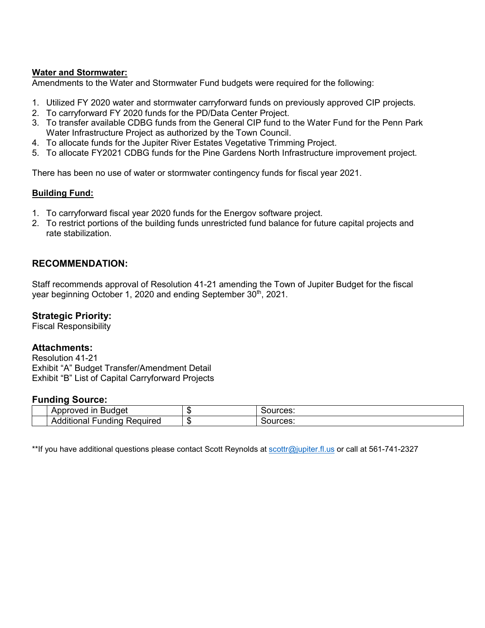#### **Water and Stormwater:**

Amendments to the Water and Stormwater Fund budgets were required for the following:

- 1. Utilized FY 2020 water and stormwater carryforward funds on previously approved CIP projects.
- 2. To carryforward FY 2020 funds for the PD/Data Center Project.
- 3. To transfer available CDBG funds from the General CIP fund to the Water Fund for the Penn Park Water Infrastructure Project as authorized by the Town Council.
- 4. To allocate funds for the Jupiter River Estates Vegetative Trimming Project.
- 5. To allocate FY2021 CDBG funds for the Pine Gardens North Infrastructure improvement project.

There has been no use of water or stormwater contingency funds for fiscal year 2021.

#### **Building Fund:**

- 1. To carryforward fiscal year 2020 funds for the Energov software project.
- 2. To restrict portions of the building funds unrestricted fund balance for future capital projects and rate stabilization.

### **RECOMMENDATION:**

Staff recommends approval of Resolution 41-21 amending the Town of Jupiter Budget for the fiscal year beginning October 1, 2020 and ending September 30<sup>th</sup>, 2021.

#### **Strategic Priority:**

Fiscal Responsibility

#### **Attachments:**

Resolution 41-21 Exhibit "A" Budget Transfer/Amendment Detail Exhibit "B" List of Capital Carryforward Projects

#### **Funding Source:**

| -in<br>Approved<br><b>Buddet</b>      | 71<br>лIJ | Sources: |
|---------------------------------------|-----------|----------|
| .<br>Reauıred<br>unding<br>Additional | m<br>٦Đ   | Sources: |

\*\*If you have additional questions please contact Scott Reynolds at [scottr@jupiter.fl.us](mailto:scottr@jupiter.fl.us) or call at 561-741-2327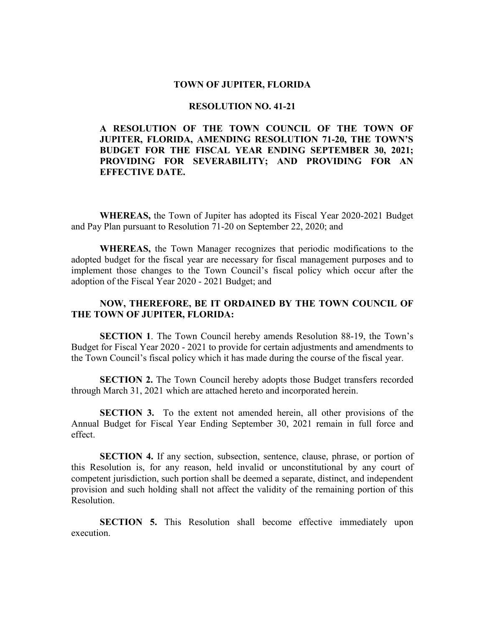#### **TOWN OF JUPITER, FLORIDA**

#### **RESOLUTION NO. 41-21**

#### **A RESOLUTION OF THE TOWN COUNCIL OF THE TOWN OF JUPITER, FLORIDA, AMENDING RESOLUTION 71-20, THE TOWN'S BUDGET FOR THE FISCAL YEAR ENDING SEPTEMBER 30, 2021; PROVIDING FOR SEVERABILITY; AND PROVIDING FOR AN EFFECTIVE DATE.**

**WHEREAS,** the Town of Jupiter has adopted its Fiscal Year 2020-2021 Budget and Pay Plan pursuant to Resolution 71-20 on September 22, 2020; and

**WHEREAS,** the Town Manager recognizes that periodic modifications to the adopted budget for the fiscal year are necessary for fiscal management purposes and to implement those changes to the Town Council's fiscal policy which occur after the adoption of the Fiscal Year 2020 - 2021 Budget; and

#### **NOW, THEREFORE, BE IT ORDAINED BY THE TOWN COUNCIL OF THE TOWN OF JUPITER, FLORIDA:**

**SECTION 1**. The Town Council hereby amends Resolution 88-19, the Town's Budget for Fiscal Year 2020 - 2021 to provide for certain adjustments and amendments to the Town Council's fiscal policy which it has made during the course of the fiscal year.

**SECTION 2.** The Town Council hereby adopts those Budget transfers recorded through March 31, 2021 which are attached hereto and incorporated herein.

**SECTION 3.** To the extent not amended herein, all other provisions of the Annual Budget for Fiscal Year Ending September 30, 2021 remain in full force and effect.

**SECTION 4.** If any section, subsection, sentence, clause, phrase, or portion of this Resolution is, for any reason, held invalid or unconstitutional by any court of competent jurisdiction, such portion shall be deemed a separate, distinct, and independent provision and such holding shall not affect the validity of the remaining portion of this Resolution.

**SECTION 5.** This Resolution shall become effective immediately upon execution.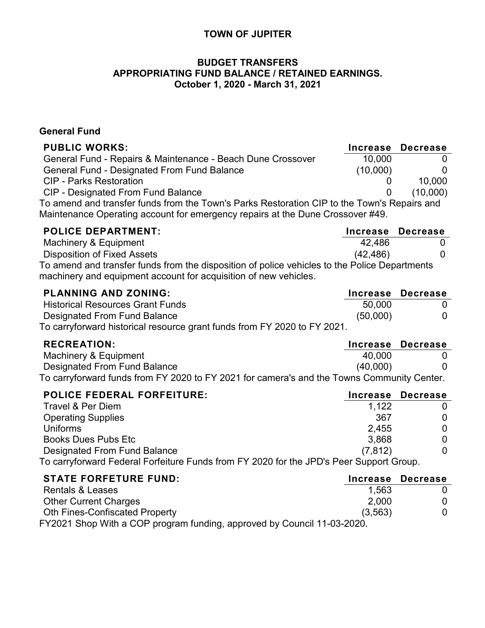## **TOWN OF JUPITER**

## **BUDGET TRANSFERS APPROPRIATING FUND BALANCE / RETAINED EARNINGS. October 1, 2020 - March 31, 2021**

## **General Fund**

| <b>PUBLIC WORKS:</b>                                                                                                                                                          | <b>Increase</b> | <b>Decrease</b>   |
|-------------------------------------------------------------------------------------------------------------------------------------------------------------------------------|-----------------|-------------------|
| General Fund - Repairs & Maintenance - Beach Dune Crossover                                                                                                                   | 10,000          |                   |
| General Fund - Designated From Fund Balance                                                                                                                                   | (10,000)        |                   |
| <b>CIP - Parks Restoration</b>                                                                                                                                                |                 | 10,000            |
| <b>CIP - Designated From Fund Balance</b>                                                                                                                                     |                 | (10,000)          |
| To amend and transfer funds from the Town's Parks Restoration CIP to the Town's Repairs and<br>Maintenance Operating account for emergency repairs at the Dune Crossover #49. |                 |                   |
| <b>POLICE DEPARTMENT:</b>                                                                                                                                                     | Increase        | <b>Decrease</b>   |
| Machinery & Equipment                                                                                                                                                         | 42,486          |                   |
| <b>Disposition of Fixed Assets</b>                                                                                                                                            | (42, 486)       |                   |
| To amend and transfer funds from the disposition of police vehicles to the Police Departments<br>machinery and equipment account for acquisition of new vehicles.             |                 |                   |
| <b>PLANNING AND ZONING:</b>                                                                                                                                                   | <b>Increase</b> | <b>Decrease</b>   |
| <b>Historical Resources Grant Funds</b>                                                                                                                                       | 50,000          |                   |
| Designated From Fund Balance                                                                                                                                                  | (50,000)        | $\mathbf{\Omega}$ |
| To carryforward historical resource grant funds from FY 2020 to FY 2021.                                                                                                      |                 |                   |
| <b>RECREATION:</b>                                                                                                                                                            | <b>Increase</b> | <b>Decrease</b>   |
| Machinery & Equipment                                                                                                                                                         | 40,000          |                   |
| Designated From Fund Balance                                                                                                                                                  | (40,000)        |                   |
| To carryforward funds from FY 2020 to FY 2021 for camera's and the Towns Community Center.                                                                                    |                 |                   |

| <b>POLICE FEDERAL FORFEITURE:</b>                                                       |          | Increase Decrease |
|-----------------------------------------------------------------------------------------|----------|-------------------|
| Travel & Per Diem                                                                       | 1.122    |                   |
| <b>Operating Supplies</b>                                                               | 367      | 0                 |
| <b>Uniforms</b>                                                                         | 2.455    | 0                 |
| <b>Books Dues Pubs Etc.</b>                                                             | 3,868    | 0                 |
| Designated From Fund Balance                                                            | (7, 812) |                   |
| To carryforward Federal Forfeiture Funds from FY 2020 for the JPD's Peer Support Group. |          |                   |

| <b>STATE FORFETURE FUND:</b>                                            |          | Increase Decrease |
|-------------------------------------------------------------------------|----------|-------------------|
| <b>Rentals &amp; Leases</b>                                             | 1.563    |                   |
| <b>Other Current Charges</b>                                            | 2.000    | $\Omega$          |
| <b>Oth Fines-Confiscated Property</b>                                   | (3, 563) | $\Omega$          |
| FY2021 Shop With a COP program funding, approved by Council 11-03-2020. |          |                   |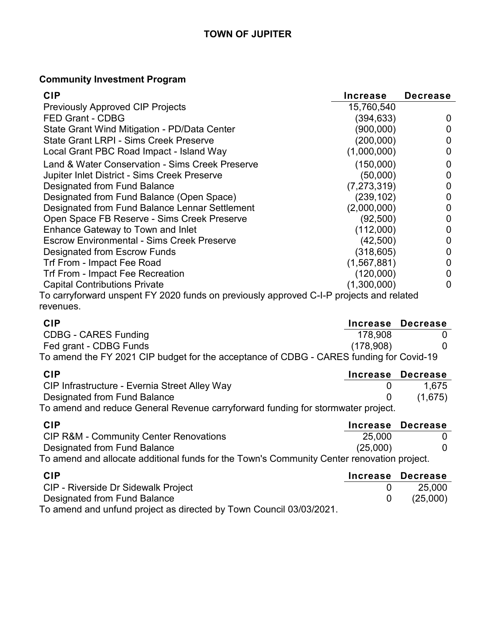## **Community Investment Program**

| <b>CIP</b>                                                                              | Increase      | <b>Decrease</b> |
|-----------------------------------------------------------------------------------------|---------------|-----------------|
| <b>Previously Approved CIP Projects</b>                                                 | 15,760,540    |                 |
| FED Grant - CDBG                                                                        | (394, 633)    | 0               |
| State Grant Wind Mitigation - PD/Data Center                                            | (900,000)     | 0               |
| <b>State Grant LRPI - Sims Creek Preserve</b>                                           | (200,000)     | 0               |
| Local Grant PBC Road Impact - Island Way                                                | (1,000,000)   | 0               |
| Land & Water Conservation - Sims Creek Preserve                                         | (150,000)     | 0               |
| Jupiter Inlet District - Sims Creek Preserve                                            | (50,000)      | 0               |
| Designated from Fund Balance                                                            | (7, 273, 319) | 0               |
| Designated from Fund Balance (Open Space)                                               | (239, 102)    | 0               |
| Designated from Fund Balance Lennar Settlement                                          | (2,000,000)   | 0               |
| Open Space FB Reserve - Sims Creek Preserve                                             | (92, 500)     | 0               |
| Enhance Gateway to Town and Inlet                                                       | (112,000)     |                 |
| <b>Escrow Environmental - Sims Creek Preserve</b>                                       | (42,500)      | 0               |
| Designated from Escrow Funds                                                            | (318, 605)    |                 |
| Trf From - Impact Fee Road                                                              | (1,567,881)   | 0               |
| Trf From - Impact Fee Recreation                                                        | (120,000)     | 0               |
| <b>Capital Contributions Private</b>                                                    | (1,300,000)   | 0               |
| To carryforward unspent FY 2020 funds on previously approved C-I-P projects and related |               |                 |
| revenues.                                                                               |               |                 |
|                                                                                         |               |                 |

| <b>CIP</b>                                                                              | <b>Increase</b> | <b>Decrease</b> |
|-----------------------------------------------------------------------------------------|-----------------|-----------------|
| <b>CDBG - CARES Funding</b>                                                             | 178,908         |                 |
| Fed grant - CDBG Funds                                                                  | (178,908)       |                 |
| To amend the FY 2021 CIP budget for the acceptance of CDBG - CARES funding for Covid-19 |                 |                 |
| <b>CIP</b>                                                                              | <b>Increase</b> | <b>Decrease</b> |
| CIP Infrastructure - Evernia Street Alley Way                                           |                 | 1,675           |
| Designated from Fund Balance                                                            | 0               | (1,675)         |
| To amend and reduce General Revenue carryforward funding for stormwater project.        |                 |                 |
| <b>CIP</b>                                                                              | <b>Increase</b> | <b>Decrease</b> |

| <b>CIP R&amp;M - Community Center Renovations</b>                                          | 25,000   |  |
|--------------------------------------------------------------------------------------------|----------|--|
| Designated from Fund Balance                                                               | (25,000) |  |
| To amend and allocate additional funds for the Town's Community Center renovation project. |          |  |

| <b>CIP</b>                                                          | Increase Decrease |
|---------------------------------------------------------------------|-------------------|
| <b>CIP - Riverside Dr Sidewalk Project</b>                          | 25.000            |
| Designated from Fund Balance                                        | (25,000)          |
| To amend and unfund project as directed by Town Council 03/03/2021. |                   |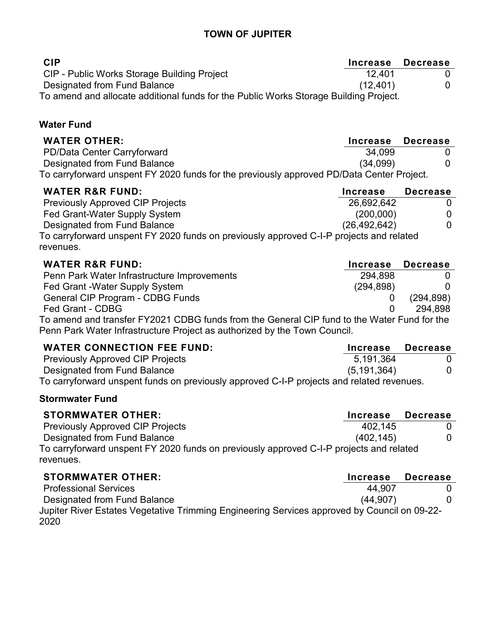## **TOWN OF JUPITER**

| <b>CIP</b>                                                                            | Increase Decrease |  |
|---------------------------------------------------------------------------------------|-------------------|--|
| CIP - Public Works Storage Building Project                                           | 12.401            |  |
| Designated from Fund Balance                                                          | (12, 401)         |  |
| To amend and allocate additional funds for the Public Works Storage Building Project. |                   |  |

## **Water Fund**

| <b>WATER OTHER:</b>                                                                       | Increase Decrease |  |
|-------------------------------------------------------------------------------------------|-------------------|--|
| PD/Data Center Carryforward                                                               | 34,099            |  |
| Designated from Fund Balance                                                              | (34,099)          |  |
| To carryforward unspent FY 2020 funds for the previously approved PD/Data Center Project. |                   |  |

| <b>WATER R&amp;R FUND:</b>                                                              | <b>Increase</b> | <b>Decrease</b> |
|-----------------------------------------------------------------------------------------|-----------------|-----------------|
| <b>Previously Approved CIP Projects</b>                                                 | 26,692,642      |                 |
| Fed Grant-Water Supply System                                                           | (200,000)       | 0               |
| <b>Designated from Fund Balance</b>                                                     | (26, 492, 642)  | 0               |
| To carryforward unspent FY 2020 funds on previously approved C-I-P projects and related |                 |                 |
| revenues.                                                                               |                 |                 |

| <b>WATER R&amp;R FUND:</b>                                                                  | Increase Decrease |            |
|---------------------------------------------------------------------------------------------|-------------------|------------|
| Penn Park Water Infrastructure Improvements                                                 | 294.898           |            |
| Fed Grant -Water Supply System                                                              | (294, 898)        |            |
| General CIP Program - CDBG Funds                                                            |                   | (294, 898) |
| Fed Grant - CDBG                                                                            |                   | 294.898    |
| To amend and transfer FY2021 CDBG funds from the General CIP fund to the Water Fund for the |                   |            |

Penn Park Water Infrastructure Project as authorized by the Town Council.

| <b>WATER CONNECTION FEE FUND:</b>                                                         | Increase     | Decrease |
|-------------------------------------------------------------------------------------------|--------------|----------|
| <b>Previously Approved CIP Projects</b>                                                   | 5,191,364    |          |
| Designated from Fund Balance                                                              | (5.191, 364) |          |
| To carryforward unspent funds on previously approved C-I-P projects and related revenues. |              |          |

## **Stormwater Fund**

| <b>STORMWATER OTHER:</b>                                                                | Increase  | <b>Decrease</b> |
|-----------------------------------------------------------------------------------------|-----------|-----------------|
| <b>Previously Approved CIP Projects</b>                                                 | 402.145   |                 |
| Designated from Fund Balance                                                            | (402.145) |                 |
| To carryforward unspent FY 2020 funds on previously approved C-I-P projects and related |           |                 |
| revenues.                                                                               |           |                 |

| <b>STORMWATER OTHER:</b>                                                                     | Increase  | <b>Decrease</b> |
|----------------------------------------------------------------------------------------------|-----------|-----------------|
| <b>Professional Services</b>                                                                 | 44.907    |                 |
| Designated from Fund Balance                                                                 | (44, 907) |                 |
| Jupiter River Estates Vegetative Trimming Engineering Services approved by Council on 09-22- |           |                 |
| 2020                                                                                         |           |                 |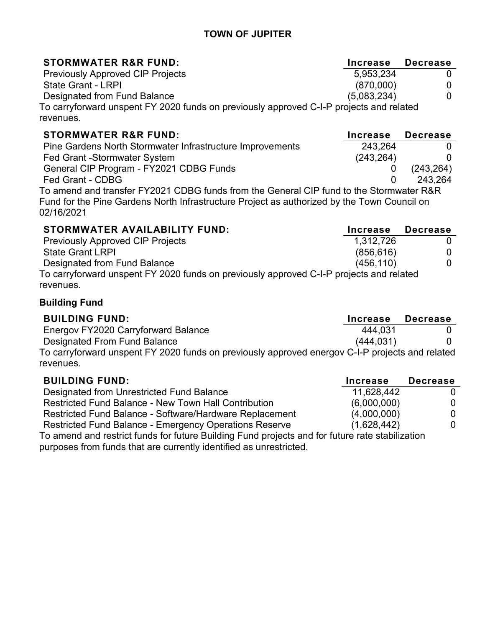## **TOWN OF JUPITER**

| <b>STORMWATER R&amp;R FUND:</b>                                                         | <b>Increase</b> | <b>Decrease</b> |
|-----------------------------------------------------------------------------------------|-----------------|-----------------|
| <b>Previously Approved CIP Projects</b>                                                 | 5,953,234       |                 |
| <b>State Grant - LRPI</b>                                                               | (870,000)       |                 |
| Designated from Fund Balance                                                            | (5,083,234)     |                 |
| To carryforward unspent FY 2020 funds on previously approved C-I-P projects and related |                 |                 |
| revenues.                                                                               |                 |                 |

| <b>STORMWATER R&amp;R FUND:</b>                                                                           | Increase Decrease |            |
|-----------------------------------------------------------------------------------------------------------|-------------------|------------|
| Pine Gardens North Stormwater Infrastructure Improvements                                                 | 243,264           |            |
| Fed Grant -Stormwater System                                                                              | (243, 264)        |            |
| General CIP Program - FY2021 CDBG Funds                                                                   |                   | (243, 264) |
| Fed Grant - CDBG                                                                                          |                   | 243.264    |
| To amend and transfer FY2021 CDBG funds from the General CIP fund to the Stormwater R&R                   |                   |            |
| Fund for the Pine Gardens North Infrastructure Project as authorized by the Town Council on<br>02/16/2021 |                   |            |

| STORMWATER AVAILABILITY FUND:                                                           | <b>Increase</b> | <b>Decrease</b> |
|-----------------------------------------------------------------------------------------|-----------------|-----------------|
| <b>Previously Approved CIP Projects</b>                                                 | 1,312,726       |                 |
| <b>State Grant LRPI</b>                                                                 | (856, 616)      |                 |
| Designated from Fund Balance                                                            | (456, 110)      |                 |
| To carryforward unspent FY 2020 funds on previously approved C-I-P projects and related |                 |                 |
| revenues.                                                                               |                 |                 |

## **Building Fund**

| <b>BUILDING FUND:</b>                                                                           | Increase  | <b>Decrease</b> |
|-------------------------------------------------------------------------------------------------|-----------|-----------------|
| Energov FY2020 Carryforward Balance                                                             | 444.031   |                 |
| Designated From Fund Balance                                                                    | (444.031) |                 |
| To carryforward unspent FY 2020 funds on previously approved energov C-I-P projects and related |           |                 |
| revenues.                                                                                       |           |                 |

| <b>BUILDING FUND:</b>                                                                           | <b>Increase</b> | <b>Decrease</b> |
|-------------------------------------------------------------------------------------------------|-----------------|-----------------|
| Designated from Unrestricted Fund Balance                                                       | 11,628,442      |                 |
| <b>Restricted Fund Balance - New Town Hall Contribution</b>                                     | (6,000,000)     | 0               |
| Restricted Fund Balance - Software/Hardware Replacement                                         | (4,000,000)     | 0               |
| Restricted Fund Balance - Emergency Operations Reserve                                          | (1,628,442)     | 0.              |
| To amend and restrict funds for future Building Fund projects and for future rate stabilization |                 |                 |

purposes from funds that are currently identified as unrestricted.